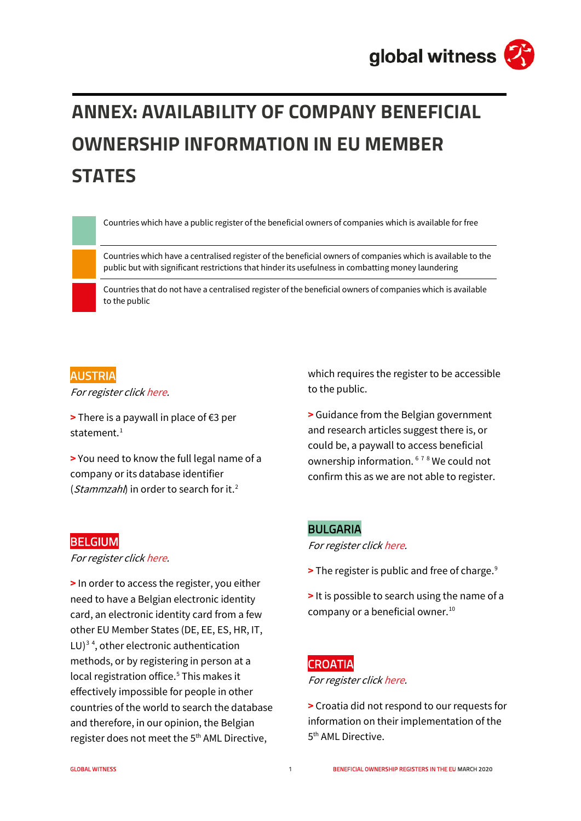# **ANNEX: AVAILABILITY OF COMPANY BENEFICIAL OWNERSHIP INFORMATION IN EU MEMBER STATES**

Countries which have a public register of the beneficial owners of companies which is available for free

Countries which have a centralised register of the beneficial owners of companies which is available to the public but with significant restrictions that hinder its usefulness in combatting money laundering

Countries that do not have a centralised register of the beneficial owners of companies which is available to the public

## AUSTRIA

For register clic[k here.](https://wieregms.bmf.gv.at/at.gv.bmf.wiereg-p/wiereg?execution=e1s1)

**>** There is a paywall in place of €3 per statement. $1$ 

**>** You need to know the full legal name of a company or its database identifier (*Stammzahl*) in order to search for it.<sup>[2](#page-7-1)</sup>

which requires the register to be accessible to the public.

**>** Guidance from the Belgian government and research articles suggest there is, or could be, a paywall to access beneficial ownership information. [6](#page-7-5) [7](#page-7-6) [8](#page-7-7) We could not confirm this as we are not able to register.

#### BULGARIA

For register clic[k here.](http://www.brra.bg/Default.aspx)

**>** The register is public and free of charge.[9](#page-7-8)

**>** It is possible to search using the name of a company or a beneficial owner.<sup>[10](#page-8-0)</sup>

## CROATIA

For register clic[k here.](https://rsv.fina.hr/RSV-javnost/login)

**>** Croatia did not respond to our requests for information on their implementation of the 5<sup>th</sup> AML Directive.

## **BELGIUM**

For register clic[k here.](https://eservices.minfin.fgov.be/myminfin-web/?utm_source=UBO%20register%20|%20Compliance%20|%20FPS%20Finances&utm_medium=Button_MMF)

**>** In order to access the register, you either need to have a Belgian electronic identity card, an electronic identity card from a few other EU Member States (DE, EE, ES, HR, IT,  $LU$ )<sup>[3](#page-7-2)[4](#page-7-3)</sup>, other electronic authentication methods, or by registering in person at a local registration office.<sup>[5](#page-7-4)</sup> This makes it effectively impossible for people in other countries of the world to search the database and therefore, in our opinion, the Belgian register does not meet the 5<sup>th</sup> AML Directive,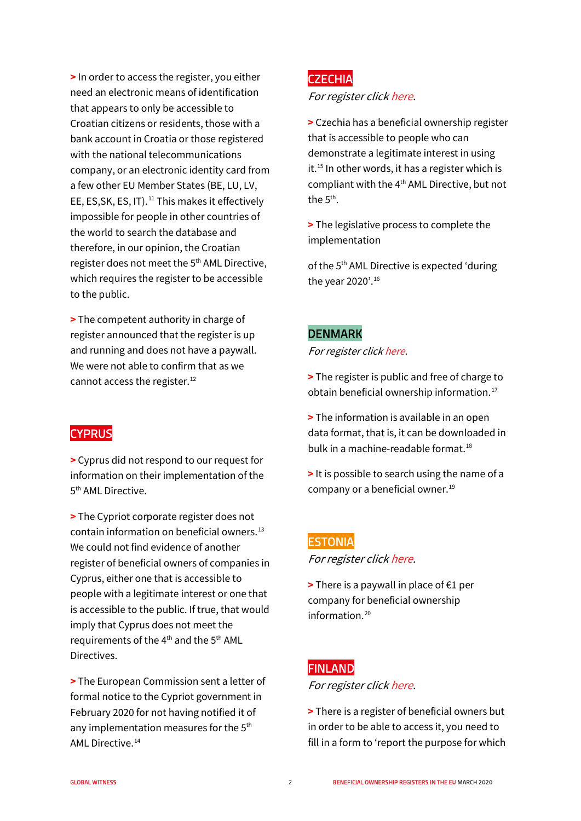**>** In order to access the register, you either need an electronic means of identification that appears to only be accessible to Croatian citizens or residents, those with a bank account in Croatia or those registered with the national telecommunications company, or an electronic identity card from a few other EU Member States (BE, LU, LV, EE, ES, SK, ES, IT).<sup>[11](#page-8-1)</sup> This makes it effectively impossible for people in other countries of the world to search the database and therefore, in our opinion, the Croatian register does not meet the 5<sup>th</sup> AML Directive, which requires the register to be accessible to the public.

**>** The competent authority in charge of register announced that the register is up and running and does not have a paywall. We were not able to confirm that as we cannot access the register.<sup>[12](#page-8-2)</sup>

## **CYPRUS**

**>** Cyprus did not respond to our request for information on their implementation of the 5<sup>th</sup> AML Directive.

**>** The Cypriot corporate register does not contain information on beneficial owners. $13$ We could not find evidence of another register of beneficial owners of companies in Cyprus, either one that is accessible to people with a legitimate interest or one that is accessible to the public. If true, that would imply that Cyprus does not meet the requirements of the  $4<sup>th</sup>$  and the  $5<sup>th</sup>$  AML Directives.

**>** The European Commission sent a letter of formal notice to the Cypriot government in February 2020 for not having notified it of any implementation measures for the 5<sup>th</sup> AML Directive.[14](#page-8-4)

## CZECHIA

#### For register clic[k here.](https://issm.justice.cz/)

**>** Czechia has a beneficial ownership register that is accessible to people who can demonstrate a legitimate interest in using it.<sup>[15](#page-8-5)</sup> In other words, it has a register which is compliant with the 4th AML Directive, but not the  $5<sup>th</sup>$ .

**>** The legislative process to complete the implementation

of the 5<sup>th</sup> AML Directive is expected 'during the year 2020'.[16](#page-8-6)

## DENMARK

For register clic[k here.](https://datacvr.virk.dk/data/?language=en-gb&)

**>** The register is public and free of charge to obtain beneficial ownership information.<sup>[17](#page-8-7)</sup>

- **>** The information is available in an open data format, that is, it can be downloaded in bulk in a machine-readable format.<sup>[18](#page-8-8)</sup>
- **>** It is possible to search using the name of a company or a beneficial owner.<sup>[19](#page-8-9)</sup>

## **ESTONIA** For register clic[k here.](https://ariregister.rik.ee/index?lang=eng)

**>** There is a paywall in place of €1 per company for beneficial ownership information $20$ 

## FINLAND

#### For register clic[k here.](https://virre.prh.fi/novus/home?execution=e1s1)

**>** There is a register of beneficial owners but in order to be able to access it, you need to fill in a form to 'report the purpose for which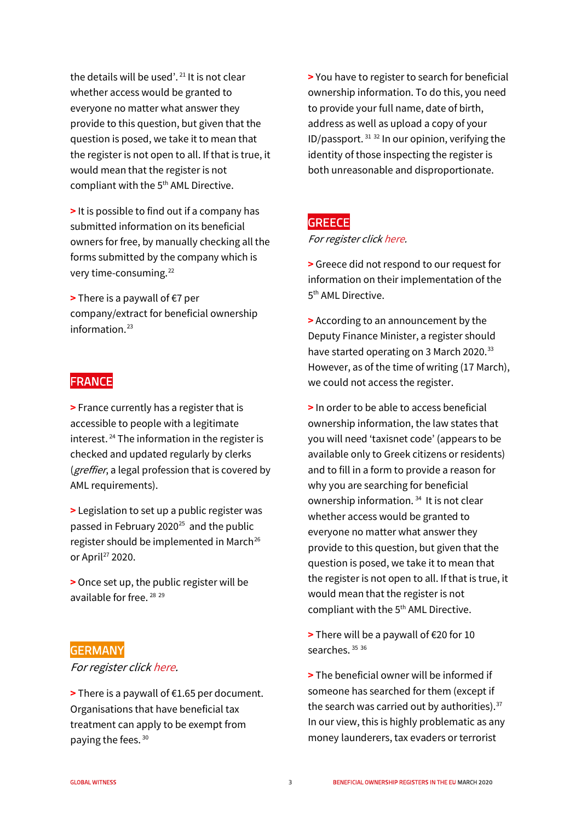the details will be used'. [21](#page-9-0) It is not clear whether access would be granted to everyone no matter what answer they provide to this question, but given that the question is posed, we take it to mean that the register is not open to all. If that is true, it would mean that the register is not compliant with the 5<sup>th</sup> AML Directive.

**>** It is possible to find out if a company has submitted information on its beneficial owners for free, by manually checking all the forms submitted by the company which is very time-consuming.[22](#page-9-1)

**>** There is a paywall of €7 per company/extract for beneficial ownership information.<sup>[23](#page-9-2)</sup>

## FRANCE

**>** France currently has a register that is accessible to people with a legitimate interest.  $24$  The information in the register is checked and updated regularly by clerks (*greffier*, a legal profession that is covered by AML requirements).

**>** Legislation to set up a public register was passed in February 2020 $25$  and the public register should be implemented in March<sup>26</sup> or April<sup>[27](#page-9-6)</sup> 2020.

**>** Once set up, the public register will be available for free. [28](#page-9-7) [29](#page-9-8)

#### GERMANY

#### For register clic[k here.](https://www.transparenzregister.de/treg/de/start?4)

**>** There is a paywall of €1.65 per document. Organisations that have beneficial tax treatment can apply to be exempt from paying the fees. [30](#page-9-9)

**>** You have to register to search for beneficial ownership information. To do this, you need to provide your full name, date of birth, address as well as upload a copy of your ID/passport.  $31\,32$  $31\,32$  $31\,32$  In our opinion, verifying the identity of those inspecting the register is both unreasonable and disproportionate.

#### **GREECE**

#### For register clic[k here.](https://www.gsis.gr/polites-epiheiriseis/epiheiriseis/mitroo-pragmatikon-dikaioyhon)

**>** Greece did not respond to our request for information on their implementation of the 5<sup>th</sup> AML Directive.

**>** According to an announcement by the Deputy Finance Minister, a register should have started operating on 3 March 2020.<sup>[33](#page-9-12)</sup> However, as of the time of writing (17 March), we could not access the register.

**>** In order to be able to access beneficial ownership information, the law states that you will need 'taxisnet code' (appears to be available only to Greek citizens or residents) and to fill in a form to provide a reason for why you are searching for beneficial ownership information. [34](#page-9-13) It is not clear whether access would be granted to everyone no matter what answer they provide to this question, but given that the question is posed, we take it to mean that the register is not open to all. If that is true, it would mean that the register is not compliant with the 5<sup>th</sup> AML Directive.

**>** There will be a paywall of €20 for 10 searches.<sup>[35](#page-10-0)</sup> [36](#page-10-1)

**>** The beneficial owner will be informed if someone has searched for them (except if the search was carried out by authorities). $37$ In our view, this is highly problematic as any money launderers, tax evaders or terrorist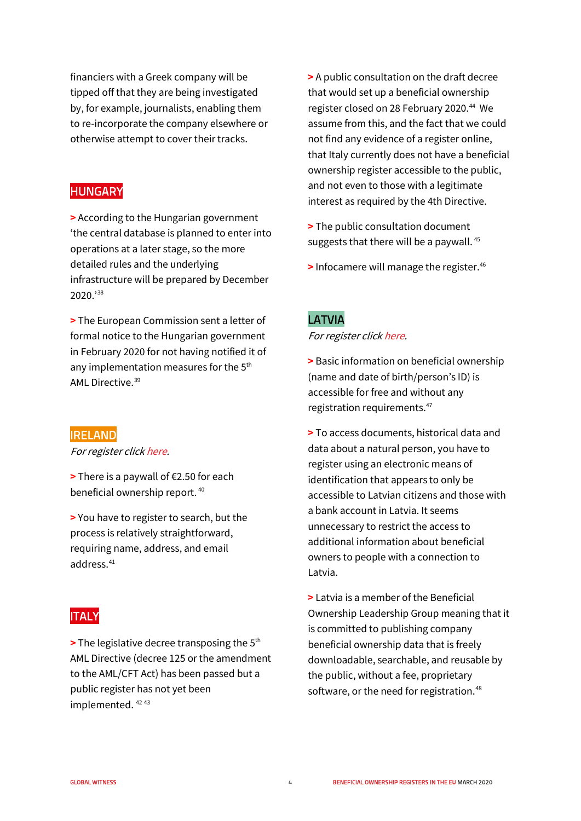financiers with a Greek company will be tipped off that they are being investigated by, for example, journalists, enabling them to re-incorporate the company elsewhere or otherwise attempt to cover their tracks.

## **HUNGARY**

**>** According to the Hungarian government 'the central database is planned to enter into operations at a later stage, so the more detailed rules and the underlying infrastructure will be prepared by December 2020.'[38](#page-10-3)

**>** The European Commission sent a letter of formal notice to the Hungarian government in February 2020 for not having notified it of any implementation measures for the 5<sup>th</sup> AML Directive.[39](#page-10-4)

## **IRELAND**

For register clic[k here.](https://rbo.gov.ie/)

**>** There is a paywall of €2.50 for each beneficial ownership report. [40](#page-10-5)

**>** You have to register to search, but the process is relatively straightforward, requiring name, address, and email address. [41](#page-10-6)

## ITALY

**>** The legislative decree transposing the 5th AML Directive (decree 125 or the amendment to the AML/CFT Act) has been passed but a public register has not yet been implemented. [42](#page-10-7) [43](#page-10-8)

**>** A public consultation on the draft decree that would set up a beneficial ownership register closed on 28 February 2020.<sup>[44](#page-10-9)</sup> We assume from this, and the fact that we could not find any evidence of a register online, that Italy currently does not have a beneficial ownership register accessible to the public, and not even to those with a legitimate interest as required by the 4th Directive.

- **>** The public consultation document suggests that there will be a paywall. [45](#page-10-10)
- **>** Infocamere will manage the register.<sup>[46](#page-10-11)</sup>

## LATVIA

For register clic[k here.](https://info.ur.gov.lv/?#/data-search)

**>** Basic information on beneficial ownership (name and date of birth/person's ID) is accessible for free and without any registration requirements.<sup>[47](#page-10-12)</sup>

**>** To access documents, historical data and data about a natural person, you have to register using an electronic means of identification that appears to only be accessible to Latvian citizens and those with a bank account in Latvia. It seems unnecessary to restrict the access to additional information about beneficial owners to people with a connection to Latvia.

**>** Latvia is a member of the Beneficial Ownership Leadership Group meaning that it is committed to publishing company beneficial ownership data that is freely downloadable, searchable, and reusable by the public, without a fee, proprietary software, or the need for registration.<sup>48</sup>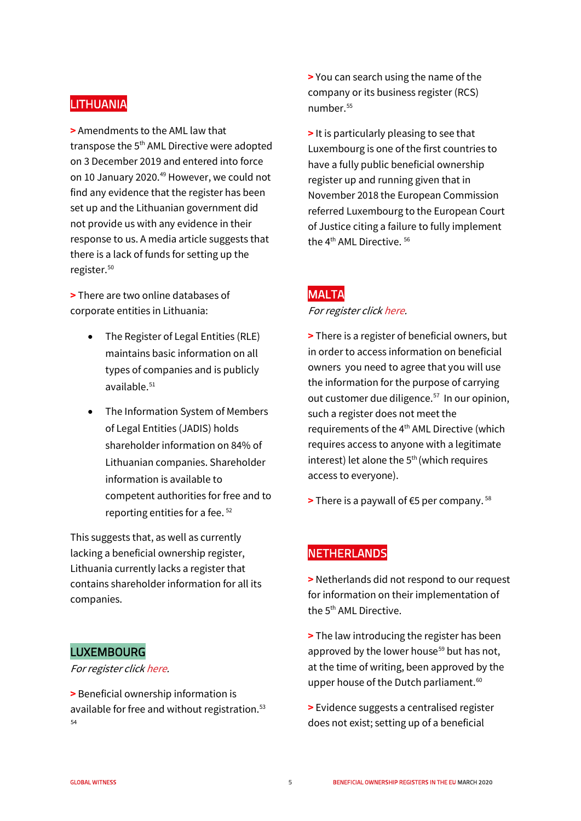## **LITHUANIA**

**>** Amendments to the AML law that transpose the 5<sup>th</sup> AML Directive were adopted on 3 December 2019 and entered into force on 10 January 2020.<sup>[49](#page-10-14)</sup> However, we could not find any evidence that the register has been set up and the Lithuanian government did not provide us with any evidence in their response to us. A media article suggests that there is a lack of funds for setting up the register.<sup>50</sup>

**>** There are two online databases of corporate entities in Lithuania:

- The Register of Legal Entities (RLE) maintains basic information on all types of companies and is publicly available.[51](#page-10-16)
- The Information System of Members of Legal Entities (JADIS) holds shareholder information on 84% of Lithuanian companies. Shareholder information is available to competent authorities for free and to reporting entities for a fee. [52](#page-10-17)

This suggests that, as well as currently lacking a beneficial ownership register, Lithuania currently lacks a register that contains shareholder information for all its companies.

## LUXEMBOURG

#### For register clic[k here.](https://www.lbr.lu/mjrcs-rbe/)

**>** Beneficial ownership information is available for free and without registration.<sup>[53](#page-10-18)</sup> [54](#page-10-3)

**>** You can search using the name of the company or its business register (RCS) number.[55](#page-10-19)

**>** It is particularly pleasing to see that Luxembourg is one of the first countries to have a fully public beneficial ownership register up and running given that in November 2018 the European Commission referred Luxembourg to the European Court of Justice citing a failure to fully implement the 4<sup>th</sup> AML Directive.<sup>[56](#page-10-20)</sup>

## MALTA

#### For register clic[k here.](https://registry.mbr.mt/ROC/index.jsp#companySearch.do?action=companyDetails)

- **>** There is a register of beneficial owners, but in order to access information on beneficial owners you need to agree that you will use the information for the purpose of carrying out customer due diligence.<sup>[57](#page-10-21)</sup> In our opinion, such a register does not meet the requirements of the 4<sup>th</sup> AML Directive (which requires access to anyone with a legitimate interest) let alone the  $5<sup>th</sup>$  (which requires access to everyone).
- **>** There is a paywall of €5 per company. [58](#page-10-22)

## **NETHERLANDS**

**>** Netherlands did not respond to our request for information on their implementation of the 5<sup>th</sup> AML Directive.

**>** The law introducing the register has been approved by the lower house<sup>[59](#page-10-23)</sup> but has not, at the time of writing, been approved by the upper house of the Dutch parliament.<sup>[60](#page-10-24)</sup>

**>** Evidence suggests a centralised register does not exist; setting up of a beneficial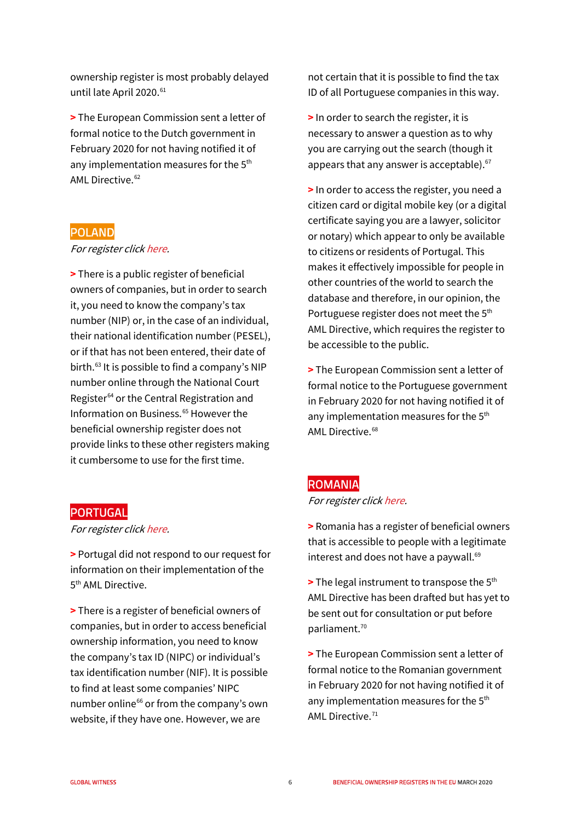ownership register is most probably delayed until late April 2020.<sup>[61](#page-10-25)</sup>

**>** The European Commission sent a letter of formal notice to the Dutch government in February 2020 for not having notified it of any implementation measures for the 5<sup>th</sup> AMI Directive.<sup>[62](#page-10-26)</sup>

## POLAND

#### For register clic[k here.](https://crbr.podatki.gov.pl/adcrbr/#/wyszukaj)

**>** There is a public register of beneficial owners of companies, but in order to search it, you need to know the company's tax number (NIP) or, in the case of an individual, their national identification number (PESEL), or if that has not been entered, their date of birth[.63](#page-10-1) It is possible to find a company's NIP number online through the National Court Register<sup>[64](#page-10-27)</sup> or the Central Registration and Information on Business.<sup>[65](#page-10-28)</sup> However the beneficial ownership register does not provide links to these other registers making it cumbersome to use for the first time.

#### PORTUGAL

For register clic[k here.](https://rcbe.justica.gov.pt/)

**>** Portugal did not respond to our request for information on their implementation of the 5<sup>th</sup> AML Directive.

**>** There is a register of beneficial owners of companies, but in order to access beneficial ownership information, you need to know the company's tax ID (NIPC) or individual's tax identification number (NIF). It is possible to find at least some companies' NIPC number online<sup>[66](#page-10-29)</sup> or from the company's own website, if they have one. However, we are

not certain that it is possible to find the tax ID of all Portuguese companies in this way.

**>** In order to search the register, it is necessary to answer a question as to why you are carrying out the search (though it appears that any answer is acceptable).<sup>67</sup>

**>** In order to access the register, you need a citizen card or digital mobile key (or a digital certificate saying you are a lawyer, solicitor or notary) which appear to only be available to citizens or residents of Portugal. This makes it effectively impossible for people in other countries of the world to search the database and therefore, in our opinion, the Portuguese register does not meet the 5<sup>th</sup> AML Directive, which requires the register to be accessible to the public.

**>** The European Commission sent a letter of formal notice to the Portuguese government in February 2020 for not having notified it of any implementation measures for the 5<sup>th</sup> AML Directive.<sup>[68](#page-10-31)</sup>

#### ROMANIA

#### For register clic[k here.](https://portal.onrc.ro/ONRCPortalWeb/appmanager/myONRC/public)

**>** Romania has a register of beneficial owners that is accessible to people with a legitimate interest and does not have a paywall. $69$ 

**>** The legal instrument to transpose the 5th AML Directive has been drafted but has yet to be sent out for consultation or put before parliament.<sup>[70](#page-10-33)</sup>

**>** The European Commission sent a letter of formal notice to the Romanian government in February 2020 for not having notified it of any implementation measures for the 5<sup>th</sup> AML Directive.<sup>[71](#page-10-34)</sup>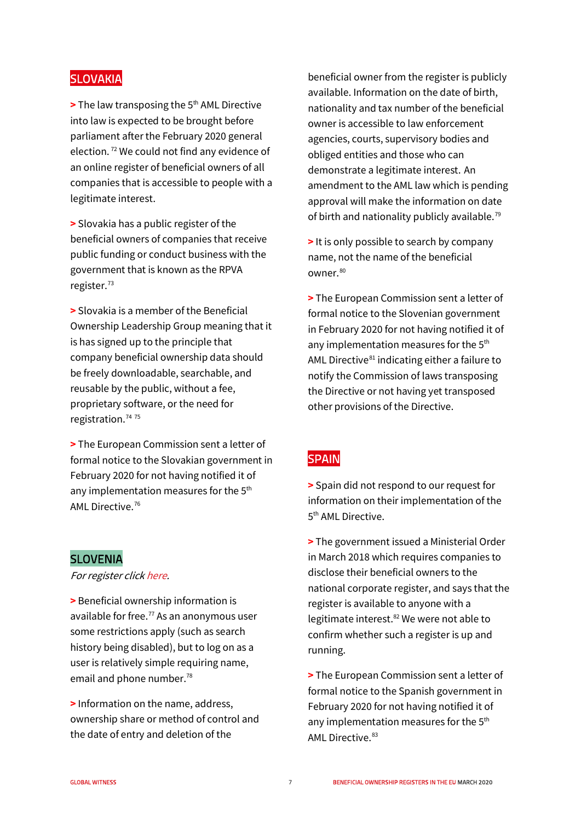## **SLOVAKIA**

**>** The law transposing the 5<sup>th</sup> AML Directive into law is expected to be brought before parliament after the February 2020 general election. [72](#page-10-35) We could not find any evidence of an online register of beneficial owners of all companies that is accessible to people with a legitimate interest.

**>** Slovakia has a public register of the beneficial owners of companies that receive public funding or conduct business with the government that is known as the RPVA register.<sup>73</sup>

**>** Slovakia is a member of the Beneficial Ownership Leadership Group meaning that it is has signed up to the principle that company beneficial ownership data should be freely downloadable, searchable, and reusable by the public, without a fee, proprietary software, or the need for registration.<sup>[74](#page-10-37) [75](#page-10-38)</sup>

**>** The European Commission sent a letter of formal notice to the Slovakian government in February 2020 for not having notified it of any implementation measures for the 5<sup>th</sup> AML Directive.[76](#page-10-39)

## SLOVENIA

For register clic[k here.](https://www.ajpes.si/Registri/Drugi_registri/Register_dejanskih_lastnikov/Splosno)

**>** Beneficial ownership information is available for free.<sup>[77](#page-10-40)</sup> As an anonymous user some restrictions apply (such as search history being disabled), but to log on as a user is relatively simple requiring name, email and phone number.<sup>[78](#page-10-41)</sup>

**>** Information on the name, address, ownership share or method of control and the date of entry and deletion of the

beneficial owner from the register is publicly available. Information on the date of birth, nationality and tax number of the beneficial owner is accessible to law enforcement agencies, courts, supervisory bodies and obliged entities and those who can demonstrate a legitimate interest. An amendment to the AML law which is pending approval will make the information on date of birth and nationality publicly available.<sup>[79](#page-10-42)</sup>

**>** It is only possible to search by company name, not the name of the beneficial owner.[80](#page-10-43)

**>** The European Commission sent a letter of formal notice to the Slovenian government in February 2020 for not having notified it of any implementation measures for the 5<sup>th</sup> AML Directive $81$  indicating either a failure to notify the Commission of laws transposing the Directive or not having yet transposed other provisions of the Directive.

## **SPAIN**

**>** Spain did not respond to our request for information on their implementation of the 5<sup>th</sup> AML Directive.

**>** The government issued a Ministerial Order in March 2018 which requires companies to disclose their beneficial owners to the national corporate register, and says that the register is available to anyone with a legitimate interest.<sup>82</sup> We were not able to confirm whether such a register is up and running.

**>** The European Commission sent a letter of formal notice to the Spanish government in February 2020 for not having notified it of any implementation measures for the 5<sup>th</sup> AML Directive. [83](#page-10-46)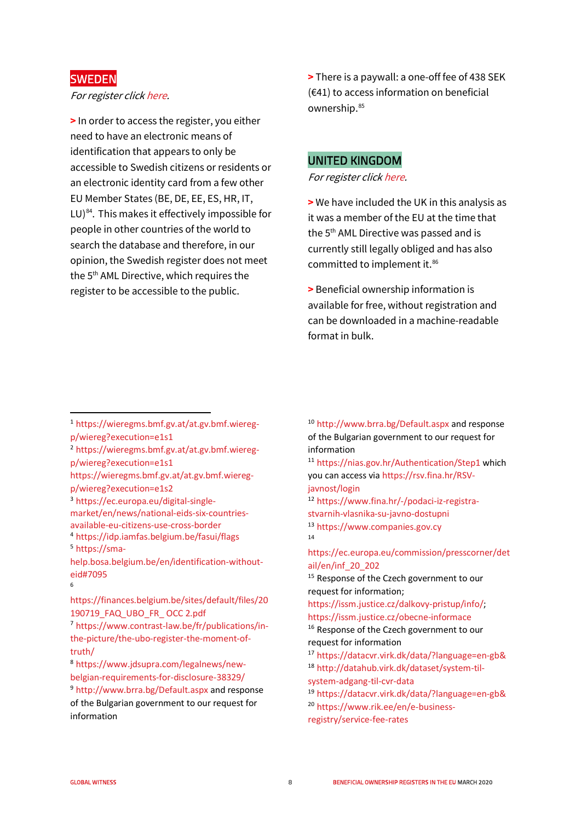## **SWEDEN**

#### For register clic[k here.](https://bolagsverket.se/pb/etjanster/verklig-huvudman/sok)

**>** In order to access the register, you either need to have an electronic means of identification that appears to only be accessible to Swedish citizens or residents or an electronic identity card from a few other EU Member States (BE, DE, EE, ES, HR, IT, LU) $^{84}$ . This makes it effectively impossible for people in other countries of the world to search the database and therefore, in our opinion, the Swedish register does not meet the 5th AML Directive, which requires the register to be accessible to the public.

**>** There is a paywall: a one-off fee of 438 SEK (€41) to access information on beneficial ownership[.85](#page-10-47)

## UNITED KINGDOM

For register clic[k here.](https://beta.companieshouse.gov.uk/)

**>** We have included the UK in this analysis as it was a member of the EU at the time that the 5<sup>th</sup> AML Directive was passed and is currently still legally obliged and has also committed to implement it.<sup>[86](#page-10-48)</sup>

**>** Beneficial ownership information is available for free, without registration and can be downloaded in a machine-readable format in bulk.

- <span id="page-7-0"></span><sup>1</sup> [https://wieregms.bmf.gv.at/at.gv.bmf.wiereg](https://wieregms.bmf.gv.at/at.gv.bmf.wiereg-p/wiereg?execution=e1s1)[p/wiereg?execution=e1s1](https://wieregms.bmf.gv.at/at.gv.bmf.wiereg-p/wiereg?execution=e1s1)
- <span id="page-7-1"></span><sup>2</sup> [https://wieregms.bmf.gv.at/at.gv.bmf.wiereg](https://wieregms.bmf.gv.at/at.gv.bmf.wiereg-p/wiereg?execution=e1s1)[p/wiereg?execution=e1s1](https://wieregms.bmf.gv.at/at.gv.bmf.wiereg-p/wiereg?execution=e1s1)
- [https://wieregms.bmf.gv.at/at.gv.bmf.wiereg](https://wieregms.bmf.gv.at/at.gv.bmf.wiereg-p/wiereg?execution=e1s2)[p/wiereg?execution=e1s2](https://wieregms.bmf.gv.at/at.gv.bmf.wiereg-p/wiereg?execution=e1s2)
- <span id="page-7-2"></span><sup>3</sup> [https://ec.europa.eu/digital-single](https://ec.europa.eu/digital-single-market/en/news/national-eids-six-countries-available-eu-citizens-use-cross-border)[market/en/news/national-eids-six-countries-](https://ec.europa.eu/digital-single-market/en/news/national-eids-six-countries-available-eu-citizens-use-cross-border)
- <span id="page-7-3"></span>[available-eu-citizens-use-cross-border](https://ec.europa.eu/digital-single-market/en/news/national-eids-six-countries-available-eu-citizens-use-cross-border) <sup>4</sup> <https://idp.iamfas.belgium.be/fasui/flags>[5](https://sma-help.bosa.belgium.be/en/identification-without-eid#7095) https://sma-

<span id="page-7-4"></span>[help.bosa.belgium.be/en/identification-without](https://sma-help.bosa.belgium.be/en/identification-without-eid#7095)[eid#7095](https://sma-help.bosa.belgium.be/en/identification-without-eid#7095) 6

<span id="page-7-5"></span>[https://finances.belgium.be/sites/default/files/20](https://finances.belgium.be/sites/default/files/20190719_FAQ_UBO_FR_%20OCC%202.pdf) [190719\\_FAQ\\_UBO\\_FR\\_ OCC 2.pdf](https://finances.belgium.be/sites/default/files/20190719_FAQ_UBO_FR_%20OCC%202.pdf)

<span id="page-7-7"></span><sup>8</sup> [https://www.jdsupra.com/legalnews/new](https://www.jdsupra.com/legalnews/new-belgian-requirements-for-disclosure-38329/)[belgian-requirements-for-disclosure-38329/](https://www.jdsupra.com/legalnews/new-belgian-requirements-for-disclosure-38329/) <sup>9</sup> <http://www.brra.bg/Default.aspx> and response

<span id="page-7-8"></span>of the Bulgarian government to our request for information

<sup>10</sup> <http://www.brra.bg/Default.aspx> and response of the Bulgarian government to our request for information

<sup>11</sup> <https://nias.gov.hr/Authentication/Step1> which you can access vi[a https://rsv.fina.hr/RSV](https://rsv.fina.hr/RSV-javnost/login)[javnost/login](https://rsv.fina.hr/RSV-javnost/login)

<sup>12</sup> [https://www.fina.hr/-/podaci-iz-registra](https://www.fina.hr/-/podaci-iz-registra-stvarnih-vlasnika-su-javno-dostupni)[stvarnih-vlasnika-su-javno-dostupni](https://www.fina.hr/-/podaci-iz-registra-stvarnih-vlasnika-su-javno-dostupni) <sup>13</sup> [https://www.companies.gov.cy](https://www.companies.gov.cy/) 14

[https://ec.europa.eu/commission/presscorner/det](https://ec.europa.eu/commission/presscorner/detail/en/inf_20_202) [ail/en/inf\\_20\\_202](https://ec.europa.eu/commission/presscorner/detail/en/inf_20_202)

<sup>15</sup> Response of the Czech government to our request for information;

[https://issm.justice.cz/dalkovy-pristup/info/;](https://issm.justice.cz/dalkovy-pristup/info/) <https://issm.justice.cz/obecne-informace> <sup>16</sup> Response of the Czech government to our

request for information

<sup>17</sup> <https://datacvr.virk.dk/data/?language=en-gb&> <sup>18</sup> [http://datahub.virk.dk/dataset/system-til-](http://datahub.virk.dk/dataset/system-til-system-adgang-til-cvr-data)

[system-adgang-til-cvr-data](http://datahub.virk.dk/dataset/system-til-system-adgang-til-cvr-data)

<sup>19</sup> <https://datacvr.virk.dk/data/?language=en-gb&> <sup>20</sup> [https://www.rik.ee/en/e-business](https://www.rik.ee/en/e-business-registry/service-fee-rates)[registry/service-fee-rates](https://www.rik.ee/en/e-business-registry/service-fee-rates)

<span id="page-7-6"></span><sup>7</sup> [https://www.contrast-law.be/fr/publications/in](https://www.contrast-law.be/fr/publications/in-the-picture/the-ubo-register-the-moment-of-truth/)[the-picture/the-ubo-register-the-moment-of](https://www.contrast-law.be/fr/publications/in-the-picture/the-ubo-register-the-moment-of-truth/)[truth/](https://www.contrast-law.be/fr/publications/in-the-picture/the-ubo-register-the-moment-of-truth/)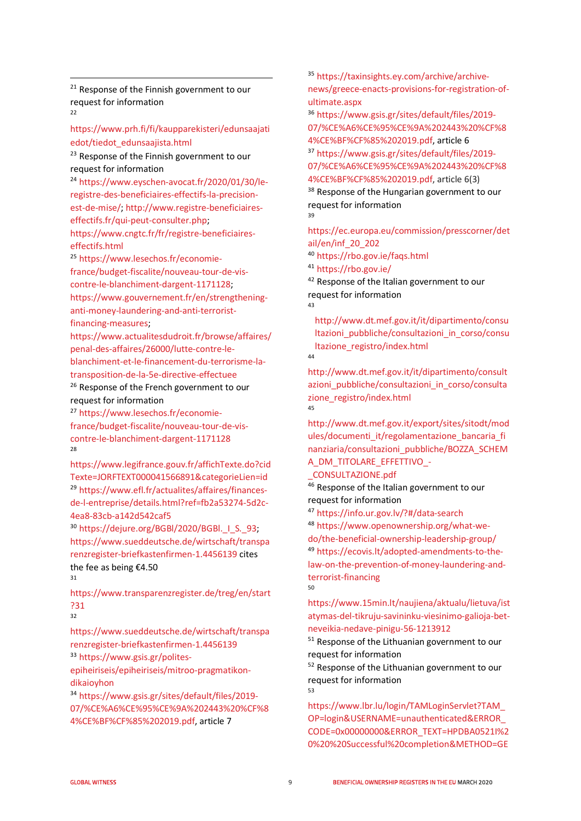<sup>21</sup> Response of the Finnish government to our request for information 22

[https://www.prh.fi/fi/kaupparekisteri/edunsaajati](https://www.prh.fi/fi/kaupparekisteri/edunsaajatiedot/tiedot_edunsaajista.html) [edot/tiedot\\_edunsaajista.html](https://www.prh.fi/fi/kaupparekisteri/edunsaajatiedot/tiedot_edunsaajista.html) 

<sup>23</sup> Response of the Finnish government to our request for information

<sup>24</sup> [https://www.eyschen-avocat.fr/2020/01/30/le](https://www.eyschen-avocat.fr/2020/01/30/le-registre-des-beneficiaires-effectifs-la-precision-est-de-mise/)[registre-des-beneficiaires-effectifs-la-precision](https://www.eyschen-avocat.fr/2020/01/30/le-registre-des-beneficiaires-effectifs-la-precision-est-de-mise/)[est-de-mise/;](https://www.eyschen-avocat.fr/2020/01/30/le-registre-des-beneficiaires-effectifs-la-precision-est-de-mise/) [http://www.registre-beneficiaires](http://www.registre-beneficiaires-effectifs.fr/qui-peut-consulter.php)[effectifs.fr/qui-peut-consulter.php;](http://www.registre-beneficiaires-effectifs.fr/qui-peut-consulter.php) [https://www.cngtc.fr/fr/registre-beneficiaires-](https://www.cngtc.fr/fr/registre-beneficiaires-effectifs.html)

effectifs.html<br><sup>25</sup> [https://www.lesechos.fr/economie](https://www.lesechos.fr/economie-france/budget-fiscalite/nouveau-tour-de-vis-contre-le-blanchiment-dargent-1171128)[france/budget-fiscalite/nouveau-tour-de-vis](https://www.lesechos.fr/economie-france/budget-fiscalite/nouveau-tour-de-vis-contre-le-blanchiment-dargent-1171128)[contre-le-blanchiment-dargent-1171128;](https://www.lesechos.fr/economie-france/budget-fiscalite/nouveau-tour-de-vis-contre-le-blanchiment-dargent-1171128) [https://www.gouvernement.fr/en/strengthening](https://www.gouvernement.fr/en/strengthening-anti-money-laundering-and-anti-terrorist-financing-measures)[anti-money-laundering-and-anti-terrorist](https://www.gouvernement.fr/en/strengthening-anti-money-laundering-and-anti-terrorist-financing-measures)[financing-measures;](https://www.gouvernement.fr/en/strengthening-anti-money-laundering-and-anti-terrorist-financing-measures)

[https://www.actualitesdudroit.fr/browse/affaires/](https://www.actualitesdudroit.fr/browse/affaires/penal-des-affaires/26000/lutte-contre-le-blanchiment-et-le-financement-du-terrorisme-la-transposition-de-la-5e-directive-effectuee) [penal-des-affaires/26000/lutte-contre-le](https://www.actualitesdudroit.fr/browse/affaires/penal-des-affaires/26000/lutte-contre-le-blanchiment-et-le-financement-du-terrorisme-la-transposition-de-la-5e-directive-effectuee)[blanchiment-et-le-financement-du-terrorisme-la](https://www.actualitesdudroit.fr/browse/affaires/penal-des-affaires/26000/lutte-contre-le-blanchiment-et-le-financement-du-terrorisme-la-transposition-de-la-5e-directive-effectuee)[transposition-de-la-5e-directive-effectuee](https://www.actualitesdudroit.fr/browse/affaires/penal-des-affaires/26000/lutte-contre-le-blanchiment-et-le-financement-du-terrorisme-la-transposition-de-la-5e-directive-effectuee)

<sup>26</sup> Response of the French government to our request for information

<span id="page-8-0"></span><sup>27</sup> [https://www.lesechos.fr/economie](https://www.lesechos.fr/economie-france/budget-fiscalite/nouveau-tour-de-vis-contre-le-blanchiment-dargent-1171128)[france/budget-fiscalite/nouveau-tour-de-vis](https://www.lesechos.fr/economie-france/budget-fiscalite/nouveau-tour-de-vis-contre-le-blanchiment-dargent-1171128)[contre-le-blanchiment-dargent-1171128](https://www.lesechos.fr/economie-france/budget-fiscalite/nouveau-tour-de-vis-contre-le-blanchiment-dargent-1171128) 28

<span id="page-8-1"></span>[https://www.legifrance.gouv.fr/affichTexte.do?cid](https://www.legifrance.gouv.fr/affichTexte.do?cidTexte=JORFTEXT000041566891&categorieLien=id) [Texte=JORFTEXT000041566891&categorieLien=id](https://www.legifrance.gouv.fr/affichTexte.do?cidTexte=JORFTEXT000041566891&categorieLien=id) <sup>29</sup> [https://www.efl.fr/actualites/affaires/finances](https://www.efl.fr/actualites/affaires/finances-de-l-entreprise/details.html?ref=fb2a53274-5d2c-4ea8-83cb-a142d542caf5)[de-l-entreprise/details.html?ref=fb2a53274-5d2c-](https://www.efl.fr/actualites/affaires/finances-de-l-entreprise/details.html?ref=fb2a53274-5d2c-4ea8-83cb-a142d542caf5)[4ea8-83cb-a142d542caf5](https://www.efl.fr/actualites/affaires/finances-de-l-entreprise/details.html?ref=fb2a53274-5d2c-4ea8-83cb-a142d542caf5)

<span id="page-8-4"></span><span id="page-8-3"></span><span id="page-8-2"></span>30 https://dejure.org/BGBI/2020/BGBI. | S. 93; [https://www.sueddeutsche.de/wirtschaft/transpa](https://www.sueddeutsche.de/wirtschaft/transparenzregister-briefkastenfirmen-1.4456139) [renzregister-briefkastenfirmen-1.4456139](https://www.sueddeutsche.de/wirtschaft/transparenzregister-briefkastenfirmen-1.4456139) cites the fee as being €4.50 31

<span id="page-8-5"></span>[https://www.transparenzregister.de/treg/en/start](https://www.transparenzregister.de/treg/en/start?31) [?31](https://www.transparenzregister.de/treg/en/start?31)

 $32$ 

<span id="page-8-6"></span>[https://www.sueddeutsche.de/wirtschaft/transpa](https://www.sueddeutsche.de/wirtschaft/transparenzregister-briefkastenfirmen-1.4456139) [renzregister-briefkastenfirmen-1.4456139](https://www.sueddeutsche.de/wirtschaft/transparenzregister-briefkastenfirmen-1.4456139) <sup>33</sup> [https://www.gsis.gr/polites-](https://www.gsis.gr/polites-epiheiriseis/epiheiriseis/mitroo-pragmatikon-dikaioyhon)

<span id="page-8-8"></span><span id="page-8-7"></span>[epiheiriseis/epiheiriseis/mitroo-pragmatikon](https://www.gsis.gr/polites-epiheiriseis/epiheiriseis/mitroo-pragmatikon-dikaioyhon)[dikaioyhon](https://www.gsis.gr/polites-epiheiriseis/epiheiriseis/mitroo-pragmatikon-dikaioyhon)

<span id="page-8-10"></span><span id="page-8-9"></span><sup>34</sup> [https://www.gsis.gr/sites/default/files/2019-](https://www.gsis.gr/sites/default/files/2019-07/%CE%A6%CE%95%CE%9A%202443%20%CF%84%CE%BF%CF%85%202019.pdf) [07/%CE%A6%CE%95%CE%9A%202443%20%CF%8](https://www.gsis.gr/sites/default/files/2019-07/%CE%A6%CE%95%CE%9A%202443%20%CF%84%CE%BF%CF%85%202019.pdf) [4%CE%BF%CF%85%202019.pdf,](https://www.gsis.gr/sites/default/files/2019-07/%CE%A6%CE%95%CE%9A%202443%20%CF%84%CE%BF%CF%85%202019.pdf) article 7

<sup>35</sup> [https://taxinsights.ey.com/archive/archive](https://taxinsights.ey.com/archive/archive-news/greece-enacts-provisions-for-registration-of-ultimate.aspx)[news/greece-enacts-provisions-for-registration-of](https://taxinsights.ey.com/archive/archive-news/greece-enacts-provisions-for-registration-of-ultimate.aspx)[ultimate.aspx](https://taxinsights.ey.com/archive/archive-news/greece-enacts-provisions-for-registration-of-ultimate.aspx)

<sup>36</sup> [https://www.gsis.gr/sites/default/files/2019-](https://www.gsis.gr/sites/default/files/2019-07/%CE%A6%CE%95%CE%9A%202443%20%CF%84%CE%BF%CF%85%202019.pdf) [07/%CE%A6%CE%95%CE%9A%202443%20%CF%8](https://www.gsis.gr/sites/default/files/2019-07/%CE%A6%CE%95%CE%9A%202443%20%CF%84%CE%BF%CF%85%202019.pdf) [4%CE%BF%CF%85%202019.pdf,](https://www.gsis.gr/sites/default/files/2019-07/%CE%A6%CE%95%CE%9A%202443%20%CF%84%CE%BF%CF%85%202019.pdf) article 6

<sup>37</sup> [https://www.gsis.gr/sites/default/files/2019-](https://www.gsis.gr/sites/default/files/2019-07/%CE%A6%CE%95%CE%9A%202443%20%CF%84%CE%BF%CF%85%202019.pdf) [07/%CE%A6%CE%95%CE%9A%202443%20%CF%8](https://www.gsis.gr/sites/default/files/2019-07/%CE%A6%CE%95%CE%9A%202443%20%CF%84%CE%BF%CF%85%202019.pdf) [4%CE%BF%CF%85%202019.pdf,](https://www.gsis.gr/sites/default/files/2019-07/%CE%A6%CE%95%CE%9A%202443%20%CF%84%CE%BF%CF%85%202019.pdf) article 6(3)

<sup>38</sup> Response of the Hungarian government to our request for information 39

[https://ec.europa.eu/commission/presscorner/det](https://ec.europa.eu/commission/presscorner/detail/en/inf_20_202) [ail/en/inf\\_20\\_202](https://ec.europa.eu/commission/presscorner/detail/en/inf_20_202)

<sup>40</sup> <https://rbo.gov.ie/faqs.html> <sup>41</sup> <https://rbo.gov.ie/>

<sup>42</sup> Response of the Italian government to our request for information 43

[http://www.dt.mef.gov.it/it/dipartimento/consu](http://www.dt.mef.gov.it/it/dipartimento/consultazioni_pubbliche/consultazioni_in_corso/consultazione_registro/index.html) [ltazioni\\_pubbliche/consultazioni\\_in\\_corso/consu](http://www.dt.mef.gov.it/it/dipartimento/consultazioni_pubbliche/consultazioni_in_corso/consultazione_registro/index.html) [ltazione\\_registro/index.html](http://www.dt.mef.gov.it/it/dipartimento/consultazioni_pubbliche/consultazioni_in_corso/consultazione_registro/index.html) 44

[http://www.dt.mef.gov.it/it/dipartimento/consult](http://www.dt.mef.gov.it/it/dipartimento/consultazioni_pubbliche/consultazioni_in_corso/consultazione_registro/index.html) azioni pubbliche/consultazioni in corso/consulta zione registro/index.html 45

[http://www.dt.mef.gov.it/export/sites/sitodt/mod](http://www.dt.mef.gov.it/export/sites/sitodt/modules/documenti_it/regolamentazione_bancaria_finanziaria/consultazioni_pubbliche/BOZZA_SCHEMA_DM_TITOLARE_EFFETTIVO_-_CONSULTAZIONE.pdf) [ules/documenti\\_it/regolamentazione\\_bancaria\\_fi](http://www.dt.mef.gov.it/export/sites/sitodt/modules/documenti_it/regolamentazione_bancaria_finanziaria/consultazioni_pubbliche/BOZZA_SCHEMA_DM_TITOLARE_EFFETTIVO_-_CONSULTAZIONE.pdf) [nanziaria/consultazioni\\_pubbliche/BOZZA\\_SCHEM](http://www.dt.mef.gov.it/export/sites/sitodt/modules/documenti_it/regolamentazione_bancaria_finanziaria/consultazioni_pubbliche/BOZZA_SCHEMA_DM_TITOLARE_EFFETTIVO_-_CONSULTAZIONE.pdf) [A\\_DM\\_TITOLARE\\_EFFETTIVO\\_-](http://www.dt.mef.gov.it/export/sites/sitodt/modules/documenti_it/regolamentazione_bancaria_finanziaria/consultazioni_pubbliche/BOZZA_SCHEMA_DM_TITOLARE_EFFETTIVO_-_CONSULTAZIONE.pdf)

[\\_CONSULTAZIONE.pdf](http://www.dt.mef.gov.it/export/sites/sitodt/modules/documenti_it/regolamentazione_bancaria_finanziaria/consultazioni_pubbliche/BOZZA_SCHEMA_DM_TITOLARE_EFFETTIVO_-_CONSULTAZIONE.pdf)

 $46$  Response of the Italian government to our request for information

<sup>47</sup> <https://info.ur.gov.lv/?#/data-search> <sup>48</sup> [https://www.openownership.org/what-we](https://www.openownership.org/what-we-do/the-beneficial-ownership-leadership-group/)[do/the-beneficial-ownership-leadership-group/](https://www.openownership.org/what-we-do/the-beneficial-ownership-leadership-group/) <sup>49</sup> [https://ecovis.lt/adopted-amendments-to-the](https://ecovis.lt/adopted-amendments-to-the-law-on-the-prevention-of-money-laundering-and-terrorist-financing)[law-on-the-prevention-of-money-laundering-and](https://ecovis.lt/adopted-amendments-to-the-law-on-the-prevention-of-money-laundering-and-terrorist-financing)[terrorist-financing](https://ecovis.lt/adopted-amendments-to-the-law-on-the-prevention-of-money-laundering-and-terrorist-financing) 50

[https://www.15min.lt/naujiena/aktualu/lietuva/ist](https://www.15min.lt/naujiena/aktualu/lietuva/istatymas-del-tikruju-savininku-viesinimo-galioja-bet-neveikia-nedave-pinigu-56-1213912) [atymas-del-tikruju-savininku-viesinimo-galioja-bet](https://www.15min.lt/naujiena/aktualu/lietuva/istatymas-del-tikruju-savininku-viesinimo-galioja-bet-neveikia-nedave-pinigu-56-1213912)[neveikia-nedave-pinigu-56-1213912](https://www.15min.lt/naujiena/aktualu/lietuva/istatymas-del-tikruju-savininku-viesinimo-galioja-bet-neveikia-nedave-pinigu-56-1213912)

<sup>51</sup> Response of the Lithuanian government to our request for information

<sup>52</sup> Response of the Lithuanian government to our request for information 53

[https://www.lbr.lu/login/TAMLoginServlet?TAM\\_](https://www.lbr.lu/login/TAMLoginServlet?TAM_OP=login&USERNAME=unauthenticated&ERROR_CODE=0x00000000&ERROR_TEXT=HPDBA0521I%20%20%20Successful%20completion&METHOD=GET&URL=%2Fmjrcs-rbe%2Fjsp%2Fsecured%2FDisplayConsultDocumentsREBECOActionSecured.action%3FFROM_MENU%3Dtrue%26time%3D1582714667096%26currentMenuLabel%3Dmenu.item.rebeco.services&HOSTNAME=www.lbr.lu&AUTHNLEVEL=2&FAILREASON=&PROTOCOL=https) [OP=login&USERNAME=unauthenticated&ERROR\\_](https://www.lbr.lu/login/TAMLoginServlet?TAM_OP=login&USERNAME=unauthenticated&ERROR_CODE=0x00000000&ERROR_TEXT=HPDBA0521I%20%20%20Successful%20completion&METHOD=GET&URL=%2Fmjrcs-rbe%2Fjsp%2Fsecured%2FDisplayConsultDocumentsREBECOActionSecured.action%3FFROM_MENU%3Dtrue%26time%3D1582714667096%26currentMenuLabel%3Dmenu.item.rebeco.services&HOSTNAME=www.lbr.lu&AUTHNLEVEL=2&FAILREASON=&PROTOCOL=https) [CODE=0x00000000&ERROR\\_TEXT=HPDBA0521I%2](https://www.lbr.lu/login/TAMLoginServlet?TAM_OP=login&USERNAME=unauthenticated&ERROR_CODE=0x00000000&ERROR_TEXT=HPDBA0521I%20%20%20Successful%20completion&METHOD=GET&URL=%2Fmjrcs-rbe%2Fjsp%2Fsecured%2FDisplayConsultDocumentsREBECOActionSecured.action%3FFROM_MENU%3Dtrue%26time%3D1582714667096%26currentMenuLabel%3Dmenu.item.rebeco.services&HOSTNAME=www.lbr.lu&AUTHNLEVEL=2&FAILREASON=&PROTOCOL=https) [0%20%20Successful%20completion&METHOD=GE](https://www.lbr.lu/login/TAMLoginServlet?TAM_OP=login&USERNAME=unauthenticated&ERROR_CODE=0x00000000&ERROR_TEXT=HPDBA0521I%20%20%20Successful%20completion&METHOD=GET&URL=%2Fmjrcs-rbe%2Fjsp%2Fsecured%2FDisplayConsultDocumentsREBECOActionSecured.action%3FFROM_MENU%3Dtrue%26time%3D1582714667096%26currentMenuLabel%3Dmenu.item.rebeco.services&HOSTNAME=www.lbr.lu&AUTHNLEVEL=2&FAILREASON=&PROTOCOL=https)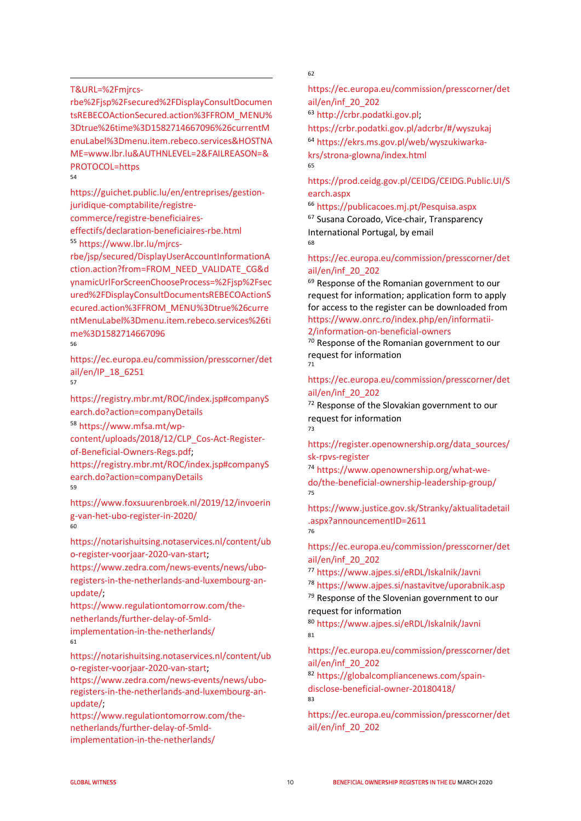#### <span id="page-9-0"></span>[T&URL=%2Fmjrcs-](https://www.lbr.lu/login/TAMLoginServlet?TAM_OP=login&USERNAME=unauthenticated&ERROR_CODE=0x00000000&ERROR_TEXT=HPDBA0521I%20%20%20Successful%20completion&METHOD=GET&URL=%2Fmjrcs-rbe%2Fjsp%2Fsecured%2FDisplayConsultDocumentsREBECOActionSecured.action%3FFROM_MENU%3Dtrue%26time%3D1582714667096%26currentMenuLabel%3Dmenu.item.rebeco.services&HOSTNAME=www.lbr.lu&AUTHNLEVEL=2&FAILREASON=&PROTOCOL=https)

<span id="page-9-1"></span>[rbe%2Fjsp%2Fsecured%2FDisplayConsultDocumen](https://www.lbr.lu/login/TAMLoginServlet?TAM_OP=login&USERNAME=unauthenticated&ERROR_CODE=0x00000000&ERROR_TEXT=HPDBA0521I%20%20%20Successful%20completion&METHOD=GET&URL=%2Fmjrcs-rbe%2Fjsp%2Fsecured%2FDisplayConsultDocumentsREBECOActionSecured.action%3FFROM_MENU%3Dtrue%26time%3D1582714667096%26currentMenuLabel%3Dmenu.item.rebeco.services&HOSTNAME=www.lbr.lu&AUTHNLEVEL=2&FAILREASON=&PROTOCOL=https) [tsREBECOActionSecured.action%3FFROM\\_MENU%](https://www.lbr.lu/login/TAMLoginServlet?TAM_OP=login&USERNAME=unauthenticated&ERROR_CODE=0x00000000&ERROR_TEXT=HPDBA0521I%20%20%20Successful%20completion&METHOD=GET&URL=%2Fmjrcs-rbe%2Fjsp%2Fsecured%2FDisplayConsultDocumentsREBECOActionSecured.action%3FFROM_MENU%3Dtrue%26time%3D1582714667096%26currentMenuLabel%3Dmenu.item.rebeco.services&HOSTNAME=www.lbr.lu&AUTHNLEVEL=2&FAILREASON=&PROTOCOL=https) [3Dtrue%26time%3D1582714667096%26currentM](https://www.lbr.lu/login/TAMLoginServlet?TAM_OP=login&USERNAME=unauthenticated&ERROR_CODE=0x00000000&ERROR_TEXT=HPDBA0521I%20%20%20Successful%20completion&METHOD=GET&URL=%2Fmjrcs-rbe%2Fjsp%2Fsecured%2FDisplayConsultDocumentsREBECOActionSecured.action%3FFROM_MENU%3Dtrue%26time%3D1582714667096%26currentMenuLabel%3Dmenu.item.rebeco.services&HOSTNAME=www.lbr.lu&AUTHNLEVEL=2&FAILREASON=&PROTOCOL=https) [enuLabel%3Dmenu.item.rebeco.services&HOSTNA](https://www.lbr.lu/login/TAMLoginServlet?TAM_OP=login&USERNAME=unauthenticated&ERROR_CODE=0x00000000&ERROR_TEXT=HPDBA0521I%20%20%20Successful%20completion&METHOD=GET&URL=%2Fmjrcs-rbe%2Fjsp%2Fsecured%2FDisplayConsultDocumentsREBECOActionSecured.action%3FFROM_MENU%3Dtrue%26time%3D1582714667096%26currentMenuLabel%3Dmenu.item.rebeco.services&HOSTNAME=www.lbr.lu&AUTHNLEVEL=2&FAILREASON=&PROTOCOL=https) [ME=www.lbr.lu&AUTHNLEVEL=2&FAILREASON=&](https://www.lbr.lu/login/TAMLoginServlet?TAM_OP=login&USERNAME=unauthenticated&ERROR_CODE=0x00000000&ERROR_TEXT=HPDBA0521I%20%20%20Successful%20completion&METHOD=GET&URL=%2Fmjrcs-rbe%2Fjsp%2Fsecured%2FDisplayConsultDocumentsREBECOActionSecured.action%3FFROM_MENU%3Dtrue%26time%3D1582714667096%26currentMenuLabel%3Dmenu.item.rebeco.services&HOSTNAME=www.lbr.lu&AUTHNLEVEL=2&FAILREASON=&PROTOCOL=https) [PROTOCOL=https](https://www.lbr.lu/login/TAMLoginServlet?TAM_OP=login&USERNAME=unauthenticated&ERROR_CODE=0x00000000&ERROR_TEXT=HPDBA0521I%20%20%20Successful%20completion&METHOD=GET&URL=%2Fmjrcs-rbe%2Fjsp%2Fsecured%2FDisplayConsultDocumentsREBECOActionSecured.action%3FFROM_MENU%3Dtrue%26time%3D1582714667096%26currentMenuLabel%3Dmenu.item.rebeco.services&HOSTNAME=www.lbr.lu&AUTHNLEVEL=2&FAILREASON=&PROTOCOL=https)

<span id="page-9-3"></span><span id="page-9-2"></span>54

[https://guichet.public.lu/en/entreprises/gestion](https://guichet.public.lu/en/entreprises/gestion-juridique-comptabilite/registre-commerce/registre-beneficiaires-effectifs/declaration-beneficiaires-rbe.html)[juridique-comptabilite/registre-](https://guichet.public.lu/en/entreprises/gestion-juridique-comptabilite/registre-commerce/registre-beneficiaires-effectifs/declaration-beneficiaires-rbe.html)

[commerce/registre-beneficiaires-](https://guichet.public.lu/en/entreprises/gestion-juridique-comptabilite/registre-commerce/registre-beneficiaires-effectifs/declaration-beneficiaires-rbe.html)

[effectifs/declaration-beneficiaires-rbe.html](https://guichet.public.lu/en/entreprises/gestion-juridique-comptabilite/registre-commerce/registre-beneficiaires-effectifs/declaration-beneficiaires-rbe.html) <sup>55</sup> [https://www.lbr.lu/mjrcs-](https://www.lbr.lu/mjrcs-rbe/jsp/secured/DisplayUserAccountInformationAction.action?from=FROM_NEED_VALIDATE_CG&dynamicUrlForScreenChooseProcess=%2Fjsp%2Fsecured%2FDisplayConsultDocumentsREBECOActionSecured.action%3FFROM_MENU%3Dtrue%26currentMenuLabel%3Dmenu.item.rebeco.services%26time%3D1582714667096)

<span id="page-9-4"></span>[rbe/jsp/secured/DisplayUserAccountInformationA](https://www.lbr.lu/mjrcs-rbe/jsp/secured/DisplayUserAccountInformationAction.action?from=FROM_NEED_VALIDATE_CG&dynamicUrlForScreenChooseProcess=%2Fjsp%2Fsecured%2FDisplayConsultDocumentsREBECOActionSecured.action%3FFROM_MENU%3Dtrue%26currentMenuLabel%3Dmenu.item.rebeco.services%26time%3D1582714667096) [ction.action?from=FROM\\_NEED\\_VALIDATE\\_CG&d](https://www.lbr.lu/mjrcs-rbe/jsp/secured/DisplayUserAccountInformationAction.action?from=FROM_NEED_VALIDATE_CG&dynamicUrlForScreenChooseProcess=%2Fjsp%2Fsecured%2FDisplayConsultDocumentsREBECOActionSecured.action%3FFROM_MENU%3Dtrue%26currentMenuLabel%3Dmenu.item.rebeco.services%26time%3D1582714667096) [ynamicUrlForScreenChooseProcess=%2Fjsp%2Fsec](https://www.lbr.lu/mjrcs-rbe/jsp/secured/DisplayUserAccountInformationAction.action?from=FROM_NEED_VALIDATE_CG&dynamicUrlForScreenChooseProcess=%2Fjsp%2Fsecured%2FDisplayConsultDocumentsREBECOActionSecured.action%3FFROM_MENU%3Dtrue%26currentMenuLabel%3Dmenu.item.rebeco.services%26time%3D1582714667096) [ured%2FDisplayConsultDocumentsREBECOActionS](https://www.lbr.lu/mjrcs-rbe/jsp/secured/DisplayUserAccountInformationAction.action?from=FROM_NEED_VALIDATE_CG&dynamicUrlForScreenChooseProcess=%2Fjsp%2Fsecured%2FDisplayConsultDocumentsREBECOActionSecured.action%3FFROM_MENU%3Dtrue%26currentMenuLabel%3Dmenu.item.rebeco.services%26time%3D1582714667096) [ecured.action%3FFROM\\_MENU%3Dtrue%26curre](https://www.lbr.lu/mjrcs-rbe/jsp/secured/DisplayUserAccountInformationAction.action?from=FROM_NEED_VALIDATE_CG&dynamicUrlForScreenChooseProcess=%2Fjsp%2Fsecured%2FDisplayConsultDocumentsREBECOActionSecured.action%3FFROM_MENU%3Dtrue%26currentMenuLabel%3Dmenu.item.rebeco.services%26time%3D1582714667096) [ntMenuLabel%3Dmenu.item.rebeco.services%26ti](https://www.lbr.lu/mjrcs-rbe/jsp/secured/DisplayUserAccountInformationAction.action?from=FROM_NEED_VALIDATE_CG&dynamicUrlForScreenChooseProcess=%2Fjsp%2Fsecured%2FDisplayConsultDocumentsREBECOActionSecured.action%3FFROM_MENU%3Dtrue%26currentMenuLabel%3Dmenu.item.rebeco.services%26time%3D1582714667096) [me%3D1582714667096](https://www.lbr.lu/mjrcs-rbe/jsp/secured/DisplayUserAccountInformationAction.action?from=FROM_NEED_VALIDATE_CG&dynamicUrlForScreenChooseProcess=%2Fjsp%2Fsecured%2FDisplayConsultDocumentsREBECOActionSecured.action%3FFROM_MENU%3Dtrue%26currentMenuLabel%3Dmenu.item.rebeco.services%26time%3D1582714667096)

56

[https://ec.europa.eu/commission/presscorner/det](https://ec.europa.eu/commission/presscorner/detail/en/IP_18_6251) [ail/en/IP\\_18\\_6251](https://ec.europa.eu/commission/presscorner/detail/en/IP_18_6251)

57

<span id="page-9-6"></span><span id="page-9-5"></span>[https://registry.mbr.mt/ROC/index.jsp#companyS](https://registry.mbr.mt/ROC/index.jsp#companySearch.do?action=companyDetails) [earch.do?action=companyDetails](https://registry.mbr.mt/ROC/index.jsp#companySearch.do?action=companyDetails)

<sup>58</sup> [https://www.mfsa.mt/wp-](https://www.mfsa.mt/wp-content/uploads/2018/12/CLP_Cos-Act-Register-of-Beneficial-Owners-Regs.pdf)

[content/uploads/2018/12/CLP\\_Cos-Act-Register](https://www.mfsa.mt/wp-content/uploads/2018/12/CLP_Cos-Act-Register-of-Beneficial-Owners-Regs.pdf)[of-Beneficial-Owners-Regs.pdf;](https://www.mfsa.mt/wp-content/uploads/2018/12/CLP_Cos-Act-Register-of-Beneficial-Owners-Regs.pdf)

<span id="page-9-7"></span>https://registry.mbr.mt/ROC/index.jsp#companyS earch.do?action=companyDetails 59

<span id="page-9-8"></span>[https://www.foxsuurenbroek.nl/2019/12/invoerin](https://www.foxsuurenbroek.nl/2019/12/invoering-van-het-ubo-register-in-2020/) [g-van-het-ubo-register-in-2020/](https://www.foxsuurenbroek.nl/2019/12/invoering-van-het-ubo-register-in-2020/) 60

<span id="page-9-9"></span>[https://notarishuitsing.notaservices.nl/content/ub](https://notarishuitsing.notaservices.nl/content/ubo-register-voorjaar-2020-van-start) [o-register-voorjaar-2020-van-start;](https://notarishuitsing.notaservices.nl/content/ubo-register-voorjaar-2020-van-start)

[https://www.zedra.com/news-events/news/ubo](https://www.zedra.com/news-events/news/ubo-registers-in-the-netherlands-and-luxembourg-an-update/)[registers-in-the-netherlands-and-luxembourg-an](https://www.zedra.com/news-events/news/ubo-registers-in-the-netherlands-and-luxembourg-an-update/)[update/;](https://www.zedra.com/news-events/news/ubo-registers-in-the-netherlands-and-luxembourg-an-update/)

<span id="page-9-10"></span>[https://www.regulationtomorrow.com/the](https://www.regulationtomorrow.com/the-netherlands/further-delay-of-5mld-implementation-in-the-netherlands/)[netherlands/further-delay-of-5mld-](https://www.regulationtomorrow.com/the-netherlands/further-delay-of-5mld-implementation-in-the-netherlands/)

<span id="page-9-11"></span>[implementation-in-the-netherlands/](https://www.regulationtomorrow.com/the-netherlands/further-delay-of-5mld-implementation-in-the-netherlands/) 61

<span id="page-9-12"></span>[https://notarishuitsing.notaservices.nl/content/ub](https://notarishuitsing.notaservices.nl/content/ubo-register-voorjaar-2020-van-start) [o-register-voorjaar-2020-van-start;](https://notarishuitsing.notaservices.nl/content/ubo-register-voorjaar-2020-van-start)

<span id="page-9-13"></span>[https://www.zedra.com/news-events/news/ubo](https://www.zedra.com/news-events/news/ubo-registers-in-the-netherlands-and-luxembourg-an-update/)[registers-in-the-netherlands-and-luxembourg-an](https://www.zedra.com/news-events/news/ubo-registers-in-the-netherlands-and-luxembourg-an-update/)[update/;](https://www.zedra.com/news-events/news/ubo-registers-in-the-netherlands-and-luxembourg-an-update/)

[https://www.regulationtomorrow.com/the](https://www.regulationtomorrow.com/the-netherlands/further-delay-of-5mld-implementation-in-the-netherlands/)[netherlands/further-delay-of-5mld](https://www.regulationtomorrow.com/the-netherlands/further-delay-of-5mld-implementation-in-the-netherlands/)[implementation-in-the-netherlands/](https://www.regulationtomorrow.com/the-netherlands/further-delay-of-5mld-implementation-in-the-netherlands/)

62

[https://ec.europa.eu/commission/presscorner/det](https://ec.europa.eu/commission/presscorner/detail/en/inf_20_202) [ail/en/inf\\_20\\_202](https://ec.europa.eu/commission/presscorner/detail/en/inf_20_202) <sup>63</sup> [http://crbr.podatki.gov.pl;](http://crbr.podatki.gov.pl/)

<https://crbr.podatki.gov.pl/adcrbr/#/wyszukaj>

<sup>64</sup> [https://ekrs.ms.gov.pl/web/wyszukiwarka](https://ekrs.ms.gov.pl/web/wyszukiwarka-krs/strona-glowna/index.html)[krs/strona-glowna/index.html](https://ekrs.ms.gov.pl/web/wyszukiwarka-krs/strona-glowna/index.html) 65

#### [https://prod.ceidg.gov.pl/CEIDG/CEIDG.Public.UI/S](https://prod.ceidg.gov.pl/CEIDG/CEIDG.Public.UI/Search.aspx) [earch.aspx](https://prod.ceidg.gov.pl/CEIDG/CEIDG.Public.UI/Search.aspx)

<sup>66</sup> <https://publicacoes.mj.pt/Pesquisa.aspx> <sup>67</sup> Susana Coroado, Vice-chair, Transparency International Portugal, by email 68

#### [https://ec.europa.eu/commission/presscorner/det](https://ec.europa.eu/commission/presscorner/detail/en/inf_20_202) [ail/en/inf\\_20\\_202](https://ec.europa.eu/commission/presscorner/detail/en/inf_20_202)

<sup>69</sup> Response of the Romanian government to our request for information; application form to apply for access to the register can be downloaded from [https://www.onrc.ro/index.php/en/informatii-](https://www.onrc.ro/index.php/en/informatii-2/information-on-beneficial-owners)[2/information-on-beneficial-owners](https://www.onrc.ro/index.php/en/informatii-2/information-on-beneficial-owners)

<sup>70</sup> Response of the Romanian government to our request for information 71

#### [https://ec.europa.eu/commission/presscorner/det](https://ec.europa.eu/commission/presscorner/detail/en/inf_20_202) [ail/en/inf\\_20\\_202](https://ec.europa.eu/commission/presscorner/detail/en/inf_20_202)

<sup>72</sup> Response of the Slovakian government to our request for information 73

[https://register.openownership.org/data\\_sources/](https://register.openownership.org/data_sources/sk-rpvs-register) [sk-rpvs-register](https://register.openownership.org/data_sources/sk-rpvs-register)

<sup>74</sup> [https://www.openownership.org/what-we](https://www.openownership.org/what-we-do/the-beneficial-ownership-leadership-group/)[do/the-beneficial-ownership-leadership-group/](https://www.openownership.org/what-we-do/the-beneficial-ownership-leadership-group/) 75

[https://www.justice.gov.sk/Stranky/aktualitadetail](https://www.justice.gov.sk/Stranky/aktualitadetail.aspx?announcementID=2611) [.aspx?announcementID=2611](https://www.justice.gov.sk/Stranky/aktualitadetail.aspx?announcementID=2611) 76

[https://ec.europa.eu/commission/presscorner/det](https://ec.europa.eu/commission/presscorner/detail/en/inf_20_202) [ail/en/inf\\_20\\_202](https://ec.europa.eu/commission/presscorner/detail/en/inf_20_202)

<sup>77</sup> <https://www.ajpes.si/eRDL/Iskalnik/Javni>

<sup>78</sup> <https://www.ajpes.si/nastavitve/uporabnik.asp> <sup>79</sup> Response of the Slovenian government to our

request for information

<sup>80</sup> <https://www.ajpes.si/eRDL/Iskalnik/Javni> 81

[https://ec.europa.eu/commission/presscorner/det](https://ec.europa.eu/commission/presscorner/detail/en/inf_20_202) [ail/en/inf\\_20\\_202](https://ec.europa.eu/commission/presscorner/detail/en/inf_20_202)

<sup>82</sup> [https://globalcompliancenews.com/spain](https://globalcompliancenews.com/spain-disclose-beneficial-owner-20180418/)[disclose-beneficial-owner-20180418/](https://globalcompliancenews.com/spain-disclose-beneficial-owner-20180418/) 83

[https://ec.europa.eu/commission/presscorner/det](https://ec.europa.eu/commission/presscorner/detail/en/inf_20_202) [ail/en/inf\\_20\\_202](https://ec.europa.eu/commission/presscorner/detail/en/inf_20_202)